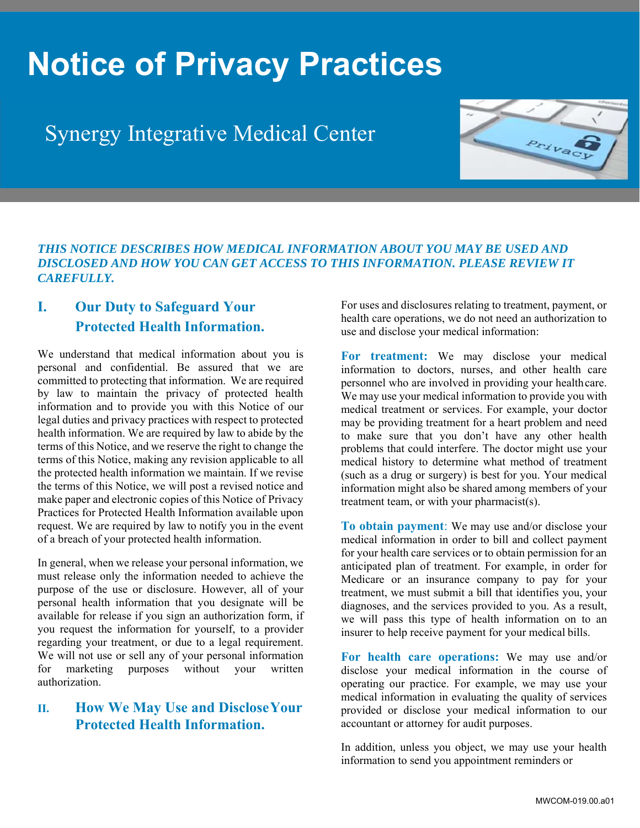# **Notice of Privacy Practices**

## Synergy Integrative Medical Center



#### *THIS NOTICE DESCRIBES HOW MEDICAL INFORMATION ABOUT YOU MAY BE USED AND DISCLOSED AND HOW YOU CAN GET ACCESS TO THIS INFORMATION. PLEASE REVIEW IT CAREFULLY.*

### **I. Our Duty to Safeguard Your Protected Health Information.**

We understand that medical information about you is personal and confidential. Be assured that we are committed to protecting that information. We are required by law to maintain the privacy of protected health information and to provide you with this Notice of our legal duties and privacy practices with respect to protected health information. We are required by law to abide by the terms of this Notice, and we reserve the right to change the terms of this Notice, making any revision applicable to all the protected health information we maintain. If we revise the terms of this Notice, we will post a revised notice and make paper and electronic copies of this Notice of Privacy Practices for Protected Health Information available upon request. We are required by law to notify you in the event of a breach of your protected health information.

In general, when we release your personal information, we must release only the information needed to achieve the purpose of the use or disclosure. However, all of your personal health information that you designate will be available for release if you sign an authorization form, if you request the information for yourself, to a provider regarding your treatment, or due to a legal requirement. We will not use or sell any of your personal information for marketing purposes without your written authorization.

#### **II. How We May Use and Disclose Your Protected Health Information.**

For uses and disclosures relating to treatment, payment, or health care operations, we do not need an authorization to use and disclose your medical information:

**For treatment:** We may disclose your medical information to doctors, nurses, and other health care personnel who are involved in providing your health care. We may use your medical information to provide you with medical treatment or services. For example, your doctor may be providing treatment for a heart problem and need to make sure that you don't have any other health problems that could interfere. The doctor might use your medical history to determine what method of treatment (such as a drug or surgery) is best for you. Your medical information might also be shared among members of your treatment team, or with your pharmacist(s).

**To obtain payment**: We may use and/or disclose your medical information in order to bill and collect payment for your health care services or to obtain permission for an anticipated plan of treatment. For example, in order for Medicare or an insurance company to pay for your treatment, we must submit a bill that identifies you, your diagnoses, and the services provided to you. As a result, we will pass this type of health information on to an insurer to help receive payment for your medical bills.

**For health care operations:** We may use and/or disclose your medical information in the course of operating our practice. For example, we may use your medical information in evaluating the quality of services provided or disclose your medical information to our accountant or attorney for audit purposes.

In addition, unless you object, we may use your health information to send you appointment reminders or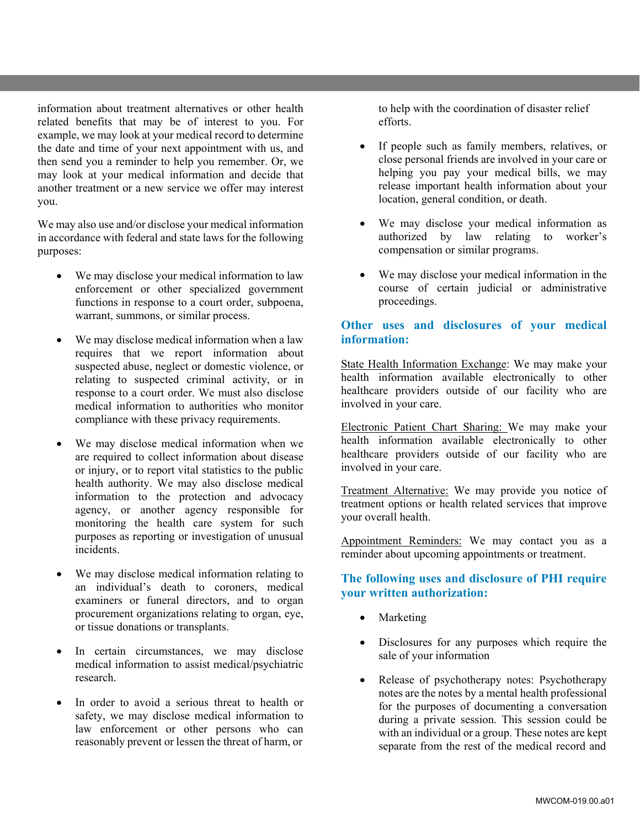information about treatment alternatives or other health related benefits that may be of interest to you. For example, we may look at your medical record to determine the date and time of your next appointment with us, and then send you a reminder to help you remember. Or, we may look at your medical information and decide that another treatment or a new service we offer may interest you.

We may also use and/or disclose your medical information in accordance with federal and state laws for the following purposes:

- We may disclose your medical information to law enforcement or other specialized government functions in response to a court order, subpoena, warrant, summons, or similar process.
- We may disclose medical information when a law requires that we report information about suspected abuse, neglect or domestic violence, or relating to suspected criminal activity, or in response to a court order. We must also disclose medical information to authorities who monitor compliance with these privacy requirements.
- We may disclose medical information when we are required to collect information about disease or injury, or to report vital statistics to the public health authority. We may also disclose medical information to the protection and advocacy agency, or another agency responsible for monitoring the health care system for such purposes as reporting or investigation of unusual incidents.
- We may disclose medical information relating to an individual's death to coroners, medical examiners or funeral directors, and to organ procurement organizations relating to organ, eye, or tissue donations or transplants.
- In certain circumstances, we may disclose medical information to assist medical/psychiatric research.
- In order to avoid a serious threat to health or safety, we may disclose medical information to law enforcement or other persons who can reasonably prevent or lessen the threat of harm, or

to help with the coordination of disaster relief efforts.

- If people such as family members, relatives, or close personal friends are involved in your care or helping you pay your medical bills, we may release important health information about your location, general condition, or death.
- We may disclose your medical information as authorized by law relating to worker's compensation or similar programs.
- We may disclose your medical information in the course of certain judicial or administrative proceedings.

#### **Other uses and disclosures of your medical information:**

State Health Information Exchange: We may make your health information available electronically to other healthcare providers outside of our facility who are involved in your care.

Electronic Patient Chart Sharing: We may make your health information available electronically to other healthcare providers outside of our facility who are involved in your care.

Treatment Alternative: We may provide you notice of treatment options or health related services that improve your overall health.

Appointment Reminders: We may contact you as a reminder about upcoming appointments or treatment.

#### **The following uses and disclosure of PHI require your written authorization:**

- Marketing
- Disclosures for any purposes which require the sale of your information
- Release of psychotherapy notes: Psychotherapy notes are the notes by a mental health professional for the purposes of documenting a conversation during a private session. This session could be with an individual or a group. These notes are kept separate from the rest of the medical record and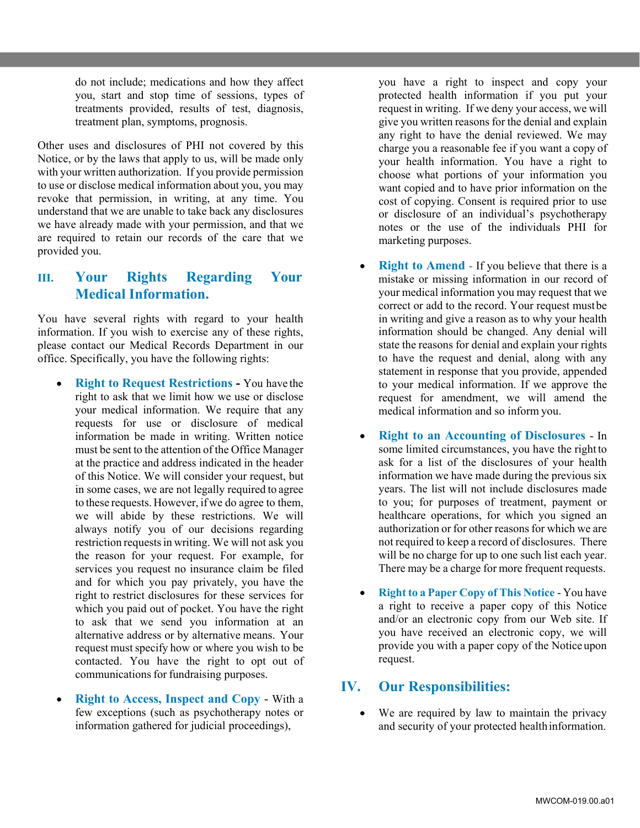do not include; medications and how they affect you, start and stop time of sessions, types of treatments provided, results of test, diagnosis, treatment plan, symptoms, prognosis.

Other uses and disclosures of PHI not covered by this Notice, or by the laws that apply to us, will be made only with your written authorization. If you provide permission to use or disclose medical information about you, you may revoke that permission, in writing, at any time. You understand that we are unable to take back any disclosures we have already made with your permission, and that we are required to retain our records of the care that we provided you.

#### **III. Your Rights Regarding Your Medical Information.**

You have several rights with regard to your health information. If you wish to exercise any of these rights, please contact our Medical Records Department in our office. Specifically, you have the following rights:

- **Right to Request Restrictions** You have the right to ask that we limit how we use or disclose your medical information. We require that any requests for use or disclosure of medical information be made in writing. Written notice must be sent to the attention of the Office Manager at the practice and address indicated in the header of this Notice. We will consider your request, but in some cases, we are not legally required to agree to these requests. However, if we do agree to them, we will abide by these restrictions. We will always notify you of our decisions regarding restriction requests in writing. We will not ask you the reason for your request. For example, for services you request no insurance claim be filed and for which you pay privately, you have the right to restrict disclosures for these services for which you paid out of pocket. You have the right to ask that we send you information at an alternative address or by alternative means. Your request must specify how or where you wish to be contacted. You have the right to opt out of communications for fundraising purposes.
- **Right to Access, Inspect and Copy**  With a few exceptions (such as psychotherapy notes or information gathered for judicial proceedings),

you have a right to inspect and copy your protected health information if you put your request in writing. If we deny your access, we will give you written reasons for the denial and explain any right to have the denial reviewed. We may charge you a reasonable fee if you want a copy of your health information. You have a right to choose what portions of your information you want copied and to have prior information on the cost of copying. Consent is required prior to use or disclosure of an individual's psychotherapy notes or the use of the individuals PHI for marketing purposes.

- **Right to Amend If you believe that there is a** mistake or missing information in our record of your medical information you may request that we correct or add to the record. Your request must be in writing and give a reason as to why your health information should be changed. Any denial will state the reasons for denial and explain your rights to have the request and denial, along with any statement in response that you provide, appended to your medical information. If we approve the request for amendment, we will amend the medical information and so inform you.
- **Right to an Accounting of Disclosures**  In some limited circumstances, you have the right to ask for a list of the disclosures of your health information we have made during the previous six years. The list will not include disclosures made to you; for purposes of treatment, payment or healthcare operations, for which you signed an authorization or for other reasons for which we are not required to keep a record of disclosures. There will be no charge for up to one such list each year. There may be a charge for more frequent requests.
- **Right to a Paper Copy of This Notice**  You have a right to receive a paper copy of this Notice and/or an electronic copy from our Web site. If you have received an electronic copy, we will provide you with a paper copy of the Notice upon request.

#### **IV. Our Responsibilities:**

 We are required by law to maintain the privacy and security of your protected health information.